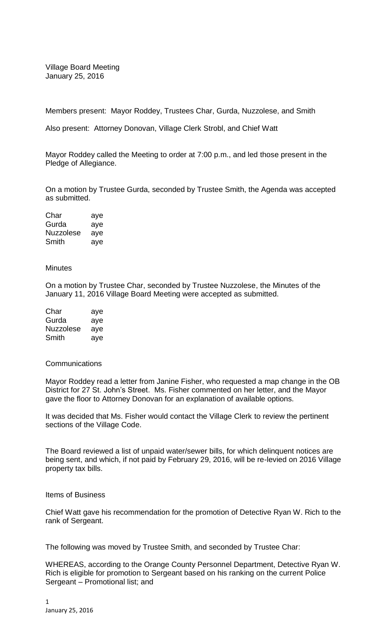Village Board Meeting January 25, 2016

Members present: Mayor Roddey, Trustees Char, Gurda, Nuzzolese, and Smith

Also present: Attorney Donovan, Village Clerk Strobl, and Chief Watt

Mayor Roddey called the Meeting to order at 7:00 p.m., and led those present in the Pledge of Allegiance.

On a motion by Trustee Gurda, seconded by Trustee Smith, the Agenda was accepted as submitted.

Char aye Gurda aye Nuzzolese aye Smith aye

## **Minutes**

On a motion by Trustee Char, seconded by Trustee Nuzzolese, the Minutes of the January 11, 2016 Village Board Meeting were accepted as submitted.

| Char      | aye |
|-----------|-----|
| Gurda     | aye |
| Nuzzolese | aye |
| Smith     | aye |

## Communications

Mayor Roddey read a letter from Janine Fisher, who requested a map change in the OB District for 27 St. John's Street. Ms. Fisher commented on her letter, and the Mayor gave the floor to Attorney Donovan for an explanation of available options.

It was decided that Ms. Fisher would contact the Village Clerk to review the pertinent sections of the Village Code.

The Board reviewed a list of unpaid water/sewer bills, for which delinquent notices are being sent, and which, if not paid by February 29, 2016, will be re-levied on 2016 Village property tax bills.

## Items of Business

Chief Watt gave his recommendation for the promotion of Detective Ryan W. Rich to the rank of Sergeant.

The following was moved by Trustee Smith, and seconded by Trustee Char:

WHEREAS, according to the Orange County Personnel Department, Detective Ryan W. Rich is eligible for promotion to Sergeant based on his ranking on the current Police Sergeant – Promotional list; and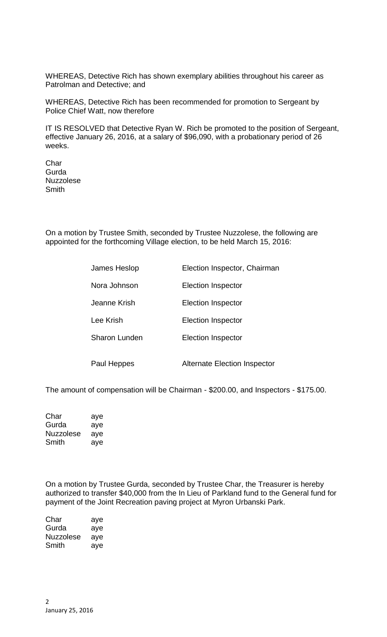WHEREAS, Detective Rich has shown exemplary abilities throughout his career as Patrolman and Detective; and

WHEREAS, Detective Rich has been recommended for promotion to Sergeant by Police Chief Watt, now therefore

IT IS RESOLVED that Detective Ryan W. Rich be promoted to the position of Sergeant, effective January 26, 2016, at a salary of \$96,090, with a probationary period of 26 weeks.

Char **Gurda** Nuzzolese **Smith** 

On a motion by Trustee Smith, seconded by Trustee Nuzzolese, the following are appointed for the forthcoming Village election, to be held March 15, 2016:

| James Heslop  | Election Inspector, Chairman |
|---------------|------------------------------|
| Nora Johnson  | <b>Election Inspector</b>    |
| Jeanne Krish  | Election Inspector           |
| Lee Krish     | <b>Election Inspector</b>    |
| Sharon Lunden | <b>Election Inspector</b>    |
| Paul Heppes   | Alternate Election Inspector |

The amount of compensation will be Chairman - \$200.00, and Inspectors - \$175.00.

| Char      | aye |
|-----------|-----|
| Gurda     | aye |
| Nuzzolese | aye |
| Smith     | aye |

On a motion by Trustee Gurda, seconded by Trustee Char, the Treasurer is hereby authorized to transfer \$40,000 from the In Lieu of Parkland fund to the General fund for payment of the Joint Recreation paving project at Myron Urbanski Park.

| Char      | aye |
|-----------|-----|
| Gurda     | aye |
| Nuzzolese | aye |
| Smith     | aye |